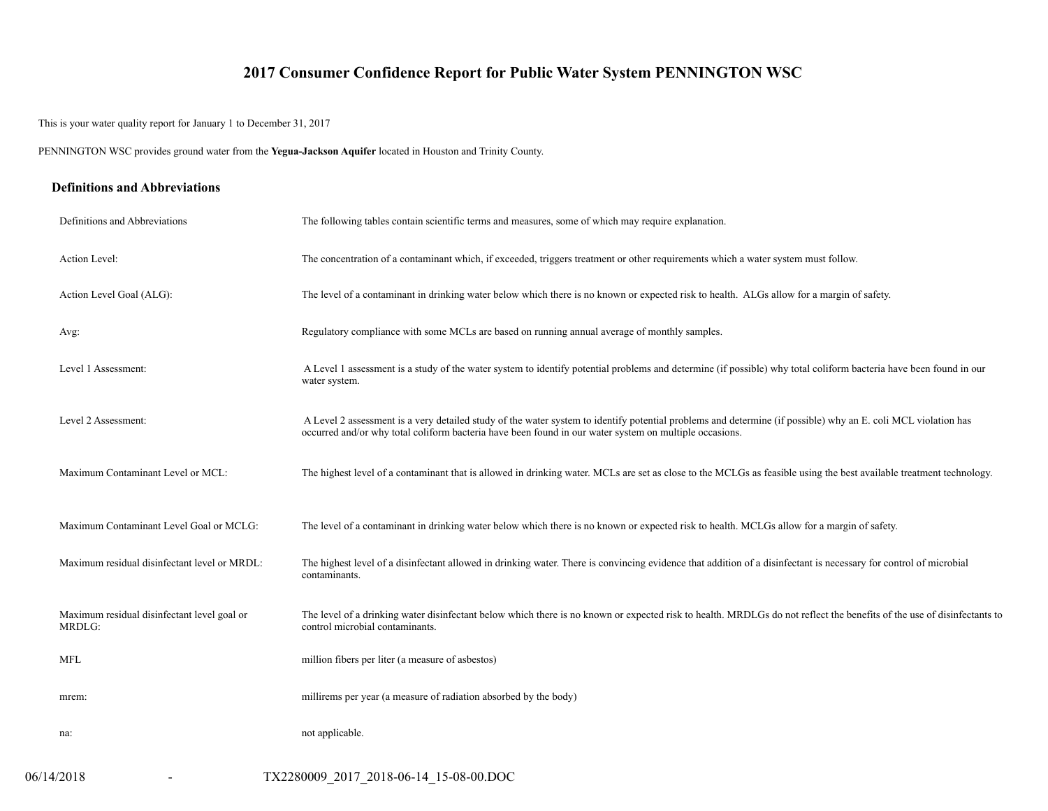## **2017 Consumer Confidence Report for Public Water System PENNINGTON WSC**

This is your water quality report for January 1 to December 31, 2017

PENNINGTON WSC provides ground water from the **Yegua-Jackson Aquifer** located in Houston and Trinity County.

### **Definitions and Abbreviations**

| Definitions and Abbreviations                         | The following tables contain scientific terms and measures, some of which may require explanation.                                                                                                                                                                      |
|-------------------------------------------------------|-------------------------------------------------------------------------------------------------------------------------------------------------------------------------------------------------------------------------------------------------------------------------|
| Action Level:                                         | The concentration of a contaminant which, if exceeded, triggers treatment or other requirements which a water system must follow.                                                                                                                                       |
| Action Level Goal (ALG):                              | The level of a contaminant in drinking water below which there is no known or expected risk to health. ALGs allow for a margin of safety.                                                                                                                               |
| Avg:                                                  | Regulatory compliance with some MCLs are based on running annual average of monthly samples.                                                                                                                                                                            |
| Level 1 Assessment:                                   | A Level 1 assessment is a study of the water system to identify potential problems and determine (if possible) why total coliform bacteria have been found in our<br>water system.                                                                                      |
| Level 2 Assessment:                                   | A Level 2 assessment is a very detailed study of the water system to identify potential problems and determine (if possible) why an E. coli MCL violation has<br>occurred and/or why total coliform bacteria have been found in our water system on multiple occasions. |
| Maximum Contaminant Level or MCL:                     | The highest level of a contaminant that is allowed in drinking water. MCLs are set as close to the MCLGs as feasible using the best available treatment technology.                                                                                                     |
| Maximum Contaminant Level Goal or MCLG:               | The level of a contaminant in drinking water below which there is no known or expected risk to health. MCLGs allow for a margin of safety.                                                                                                                              |
| Maximum residual disinfectant level or MRDL:          | The highest level of a disinfectant allowed in drinking water. There is convincing evidence that addition of a disinfectant is necessary for control of microbial<br>contaminants.                                                                                      |
| Maximum residual disinfectant level goal or<br>MRDLG: | The level of a drinking water disinfectant below which there is no known or expected risk to health. MRDLGs do not reflect the benefits of the use of disinfectants to<br>control microbial contaminants.                                                               |
| <b>MFL</b>                                            | million fibers per liter (a measure of asbestos)                                                                                                                                                                                                                        |
| mrem:                                                 | millirems per year (a measure of radiation absorbed by the body)                                                                                                                                                                                                        |
| na:                                                   | not applicable.                                                                                                                                                                                                                                                         |
| 06/14/2018<br>$\overline{\phantom{a}}$                | TX2280009 2017 2018-06-14 15-08-00.DOC                                                                                                                                                                                                                                  |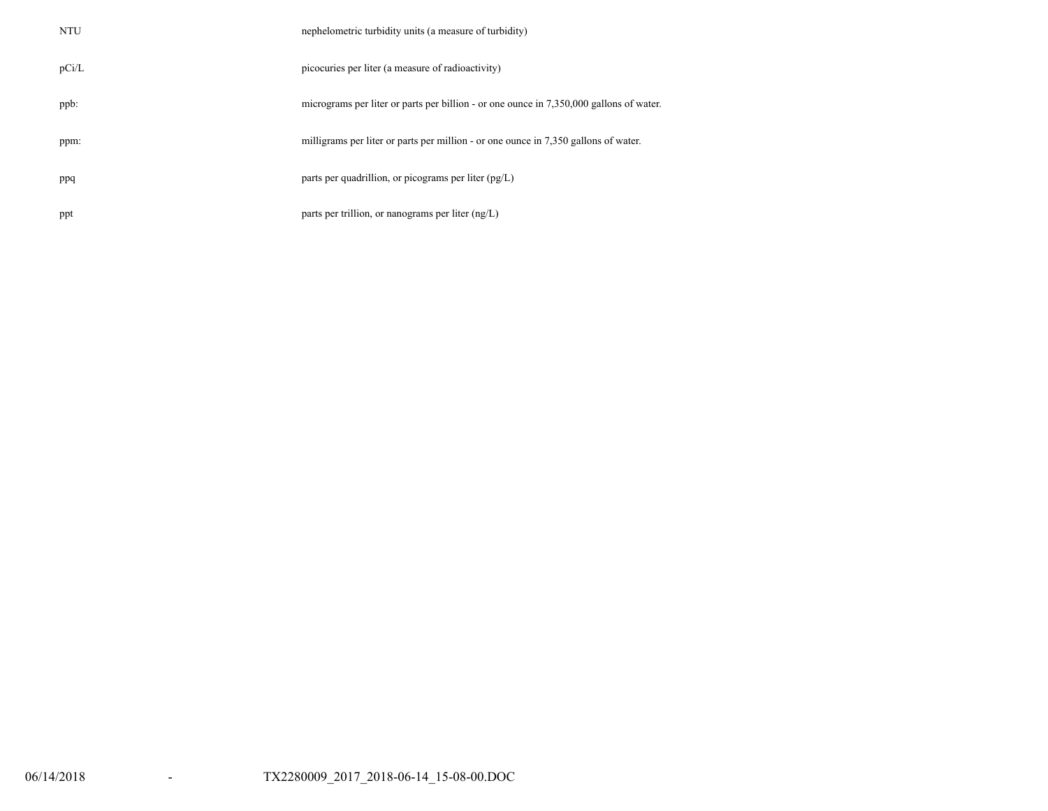| <b>NTU</b> | nephelometric turbidity units (a measure of turbidity)                                  |
|------------|-----------------------------------------------------------------------------------------|
| pCi/L      | picocuries per liter (a measure of radioactivity)                                       |
| ppb:       | micrograms per liter or parts per billion - or one ounce in 7,350,000 gallons of water. |
| ppm:       | milligrams per liter or parts per million - or one ounce in 7,350 gallons of water.     |
| ppq        | parts per quadrillion, or picograms per liter $(pg/L)$                                  |
| ppt        | parts per trillion, or nanograms per liter $(ng/L)$                                     |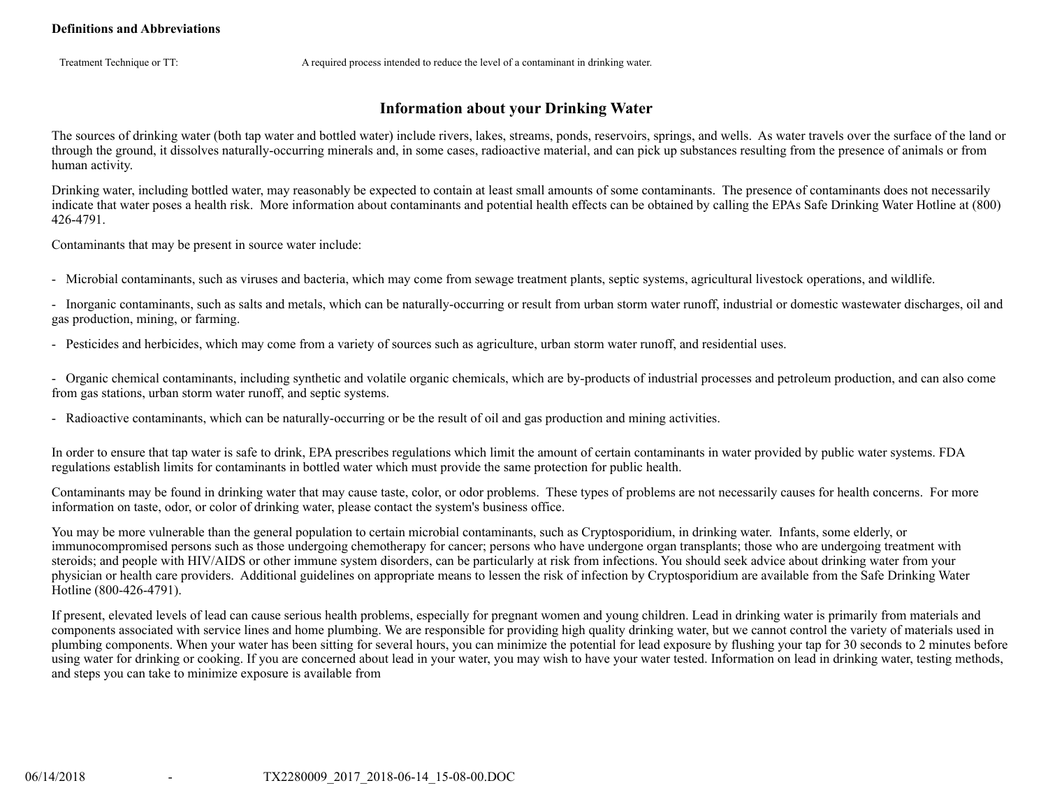Treatment Technique or TT: A required process intended to reduce the level of a contaminant in drinking water.

## **Information about your Drinking Water**

The sources of drinking water (both tap water and bottled water) include rivers, lakes, streams, ponds, reservoirs, springs, and wells. As water travels over the surface of the land or through the ground, it dissolves naturally-occurring minerals and, in some cases, radioactive material, and can pick up substances resulting from the presence of animals or from human activity.

Drinking water, including bottled water, may reasonably be expected to contain at least small amounts of some contaminants. The presence of contaminants does not necessarily indicate that water poses a health risk. More information about contaminants and potential health effects can be obtained by calling the EPAs Safe Drinking Water Hotline at (800) 426-4791.

Contaminants that may be present in source water include:

- Microbial contaminants, such as viruses and bacteria, which may come from sewage treatment plants, septic systems, agricultural livestock operations, and wildlife.

- Inorganic contaminants, such as salts and metals, which can be naturally-occurring or result from urban storm water runoff, industrial or domestic wastewater discharges, oil and gas production, mining, or farming.

- Pesticides and herbicides, which may come from a variety of sources such as agriculture, urban storm water runoff, and residential uses.

- Organic chemical contaminants, including synthetic and volatile organic chemicals, which are by-products of industrial processes and petroleum production, and can also come from gas stations, urban storm water runoff, and septic systems.

- Radioactive contaminants, which can be naturally-occurring or be the result of oil and gas production and mining activities.

In order to ensure that tap water is safe to drink, EPA prescribes regulations which limit the amount of certain contaminants in water provided by public water systems. FDA regulations establish limits for contaminants in bottled water which must provide the same protection for public health.

Contaminants may be found in drinking water that may cause taste, color, or odor problems. These types of problems are not necessarily causes for health concerns. For more information on taste, odor, or color of drinking water, please contact the system's business office.

You may be more vulnerable than the general population to certain microbial contaminants, such as Cryptosporidium, in drinking water. Infants, some elderly, or immunocompromised persons such as those undergoing chemotherapy for cancer; persons who have undergone organ transplants; those who are undergoing treatment with steroids; and people with HIV/AIDS or other immune system disorders, can be particularly at risk from infections. You should seek advice about drinking water from your physician or health care providers. Additional guidelines on appropriate means to lessen the risk of infection by Cryptosporidium are available from the Safe Drinking Water Hotline (800-426-4791).

If present, elevated levels of lead can cause serious health problems, especially for pregnant women and young children. Lead in drinking water is primarily from materials and components associated with service lines and home plumbing. We are responsible for providing high quality drinking water, but we cannot control the variety of materials used in plumbing components. When your water has been sitting for several hours, you can minimize the potential for lead exposure by flushing your tap for 30 seconds to 2 minutes before using water for drinking or cooking. If you are concerned about lead in your water, you may wish to have your water tested. Information on lead in drinking water, testing methods, and steps you can take to minimize exposure is available from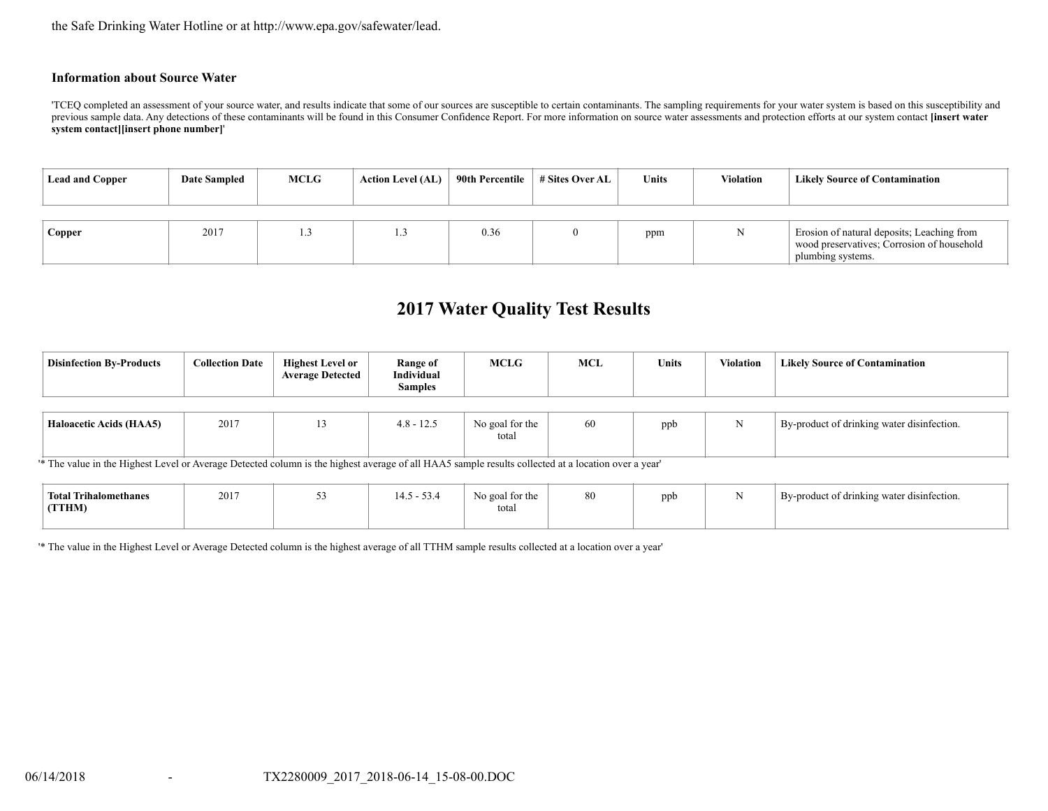the Safe Drinking Water Hotline or at http://www.epa.gov/safewater/lead.

#### **Information about Source Water**

'TCEQ completed an assessment of your source water, and results indicate that some of our sources are susceptible to certain contaminants. The sampling requirements for your water system is based on this susceptibility and previous sample data. Any detections of these contaminants will be found in this Consumer Confidence Report. For more information on source water assessments and protection efforts at our system contact **[insert water system contact][insert phone number]**'

| <b>Lead and Copper</b> | Date Sampled | <b>MCLG</b> | <b>Action Level (AL)</b> | 90th Percentile | # Sites Over AL | <b>Units</b> | <b>Violation</b> | <b>Likely Source of Contamination</b>                                                                         |
|------------------------|--------------|-------------|--------------------------|-----------------|-----------------|--------------|------------------|---------------------------------------------------------------------------------------------------------------|
| Copper                 | 2017         |             |                          | 0.36            |                 | ppm          |                  | Erosion of natural deposits; Leaching from<br>wood preservatives; Corrosion of household<br>plumbing systems. |

# **2017 Water Quality Test Results**

| <b>Disinfection By-Products</b> | <b>Collection Date</b> | <b>Highest Level or</b><br><b>Average Detected</b> | Range of<br>Individual<br><b>Samples</b> | <b>MCLG</b>              | <b>MCL</b> | <b>Units</b> | Violation | <b>Likely Source of Contamination</b>      |
|---------------------------------|------------------------|----------------------------------------------------|------------------------------------------|--------------------------|------------|--------------|-----------|--------------------------------------------|
| <b>Haloacetic Acids (HAA5)</b>  | 2017                   |                                                    | $4.8 - 12.5$                             | No goal for the<br>total | 60         | ppb          |           | By-product of drinking water disinfection. |

'\* The value in the Highest Level or Average Detected column is the highest average of all HAA5 sample results collected at a location over a year'

| <b>Total Trihalomethanes</b><br>(TTHM) | 2017 | $\sim$ $\sim$ | $-\sim$ | No goal for the<br>total | ppt | By-product of drinking water disinfection. |
|----------------------------------------|------|---------------|---------|--------------------------|-----|--------------------------------------------|
|                                        |      |               |         |                          |     |                                            |

'\* The value in the Highest Level or Average Detected column is the highest average of all TTHM sample results collected at a location over a year'